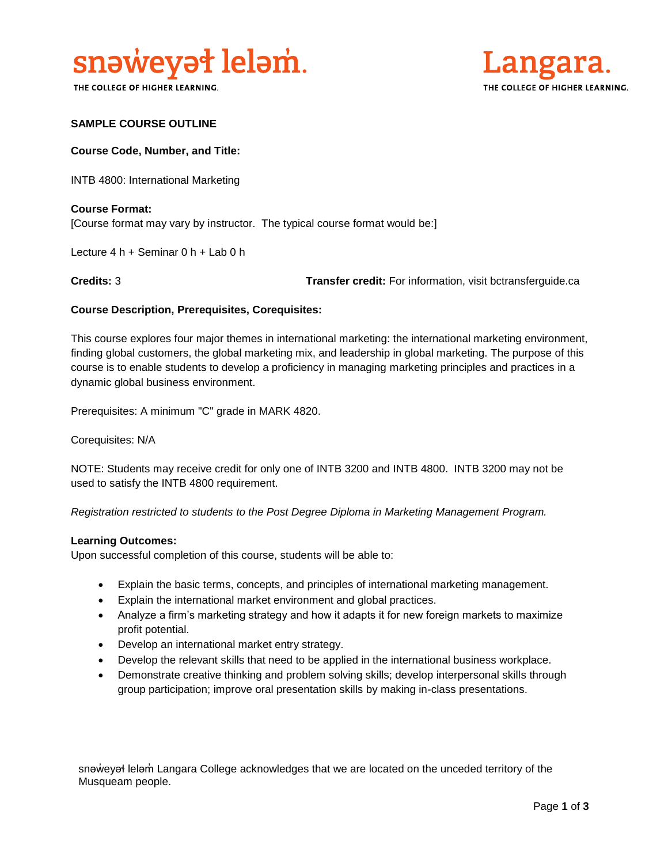

THE COLLEGE OF HIGHER LEARNING.



### **SAMPLE COURSE OUTLINE**

### **Course Code, Number, and Title:**

INTB 4800: International Marketing

# **Course Format:** [Course format may vary by instructor. The typical course format would be:]

Lecture 4 h + Seminar 0 h + Lab 0 h

**Credits:** 3 **Transfer credit:** For information, visit bctransferguide.ca

### **Course Description, Prerequisites, Corequisites:**

This course explores four major themes in international marketing: the international marketing environment, finding global customers, the global marketing mix, and leadership in global marketing. The purpose of this course is to enable students to develop a proficiency in managing marketing principles and practices in a dynamic global business environment.

Prerequisites: A minimum "C" grade in MARK 4820.

Corequisites: N/A

NOTE: Students may receive credit for only one of INTB 3200 and INTB 4800. INTB 3200 may not be used to satisfy the INTB 4800 requirement.

*Registration restricted to students to the Post Degree Diploma in Marketing Management Program.* 

#### **Learning Outcomes:**

Upon successful completion of this course, students will be able to:

- Explain the basic terms, concepts, and principles of international marketing management.
- Explain the international market environment and global practices.
- Analyze a firm's marketing strategy and how it adapts it for new foreign markets to maximize profit potential.
- Develop an international market entry strategy.
- Develop the relevant skills that need to be applied in the international business workplace.
- Demonstrate creative thinking and problem solving skills; develop interpersonal skills through group participation; improve oral presentation skills by making in-class presentations.

snəweyał leləm Langara College acknowledges that we are located on the unceded territory of the Musqueam people.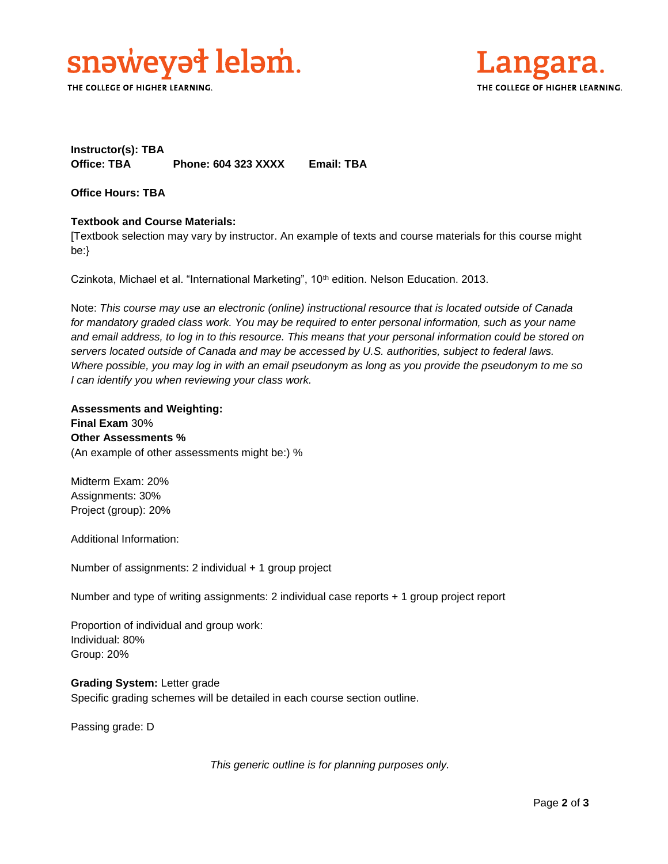

THE COLLEGE OF HIGHER LEARNING.



# **Instructor(s): TBA Office: TBA Phone: 604 323 XXXX Email: TBA**

**Office Hours: TBA** 

# **Textbook and Course Materials:**

[Textbook selection may vary by instructor. An example of texts and course materials for this course might be:}

Czinkota, Michael et al. "International Marketing", 10<sup>th</sup> edition. Nelson Education. 2013.

Note: *This course may use an electronic (online) instructional resource that is located outside of Canada*  for mandatory graded class work. You may be required to enter personal information, such as your name *and email address, to log in to this resource. This means that your personal information could be stored on servers located outside of Canada and may be accessed by U.S. authorities, subject to federal laws. Where possible, you may log in with an email pseudonym as long as you provide the pseudonym to me so I can identify you when reviewing your class work.* 

**Assessments and Weighting: Final Exam** 30% **Other Assessments %** (An example of other assessments might be:) %

Midterm Exam: 20% Assignments: 30% Project (group): 20%

Additional Information:

Number of assignments: 2 individual + 1 group project

Number and type of writing assignments: 2 individual case reports + 1 group project report

Proportion of individual and group work: Individual: 80% Group: 20%

**Grading System:** Letter grade Specific grading schemes will be detailed in each course section outline.

Passing grade: D

*This generic outline is for planning purposes only.*